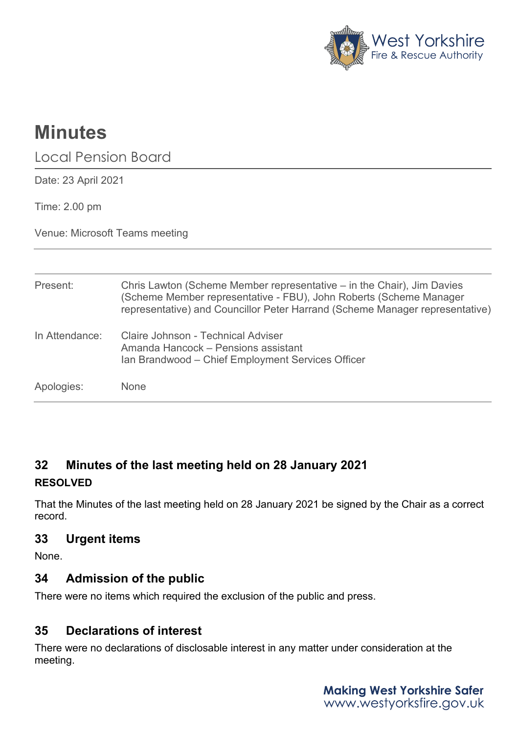

# **Minutes**

Local Pension Board

Date: 23 April 2021

Time: 2.00 pm

Venue: Microsoft Teams meeting

| Present:       | Chris Lawton (Scheme Member representative – in the Chair), Jim Davies<br>(Scheme Member representative - FBU), John Roberts (Scheme Manager<br>representative) and Councillor Peter Harrand (Scheme Manager representative) |
|----------------|------------------------------------------------------------------------------------------------------------------------------------------------------------------------------------------------------------------------------|
| In Attendance: | Claire Johnson - Technical Adviser<br>Amanda Hancock – Pensions assistant<br>Ian Brandwood - Chief Employment Services Officer                                                                                               |
| Apologies:     | None                                                                                                                                                                                                                         |

# **32 Minutes of the last meeting held on 28 January 2021 RESOLVED**

That the Minutes of the last meeting held on 28 January 2021 be signed by the Chair as a correct record.

# **33 Urgent items**

None.

# **34 Admission of the public**

There were no items which required the exclusion of the public and press.

# **35 Declarations of interest**

There were no declarations of disclosable interest in any matter under consideration at the meeting.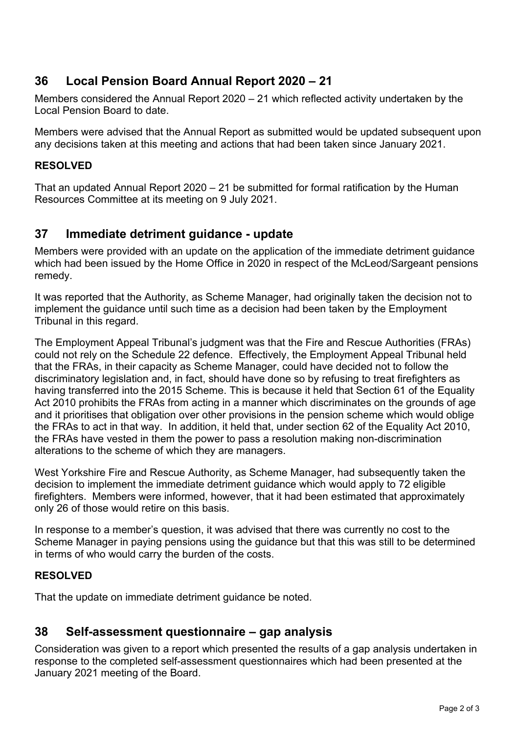## **36 Local Pension Board Annual Report 2020 – 21**

Members considered the Annual Report 2020 – 21 which reflected activity undertaken by the Local Pension Board to date.

Members were advised that the Annual Report as submitted would be updated subsequent upon any decisions taken at this meeting and actions that had been taken since January 2021.

#### **RESOLVED**

That an updated Annual Report 2020 – 21 be submitted for formal ratification by the Human Resources Committee at its meeting on 9 July 2021.

## **37 Immediate detriment guidance - update**

Members were provided with an update on the application of the immediate detriment guidance which had been issued by the Home Office in 2020 in respect of the McLeod/Sargeant pensions remedy.

It was reported that the Authority, as Scheme Manager, had originally taken the decision not to implement the guidance until such time as a decision had been taken by the Employment Tribunal in this regard.

The Employment Appeal Tribunal's judgment was that the Fire and Rescue Authorities (FRAs) could not rely on the Schedule 22 defence. Effectively, the Employment Appeal Tribunal held that the FRAs, in their capacity as Scheme Manager, could have decided not to follow the discriminatory legislation and, in fact, should have done so by refusing to treat firefighters as having transferred into the 2015 Scheme. This is because it held that Section 61 of the Equality Act 2010 prohibits the FRAs from acting in a manner which discriminates on the grounds of age and it prioritises that obligation over other provisions in the pension scheme which would oblige the FRAs to act in that way. In addition, it held that, under section 62 of the Equality Act 2010, the FRAs have vested in them the power to pass a resolution making non-discrimination alterations to the scheme of which they are managers.

West Yorkshire Fire and Rescue Authority, as Scheme Manager, had subsequently taken the decision to implement the immediate detriment guidance which would apply to 72 eligible firefighters. Members were informed, however, that it had been estimated that approximately only 26 of those would retire on this basis.

In response to a member's question, it was advised that there was currently no cost to the Scheme Manager in paying pensions using the guidance but that this was still to be determined in terms of who would carry the burden of the costs.

## **RESOLVED**

That the update on immediate detriment guidance be noted.

## **38 Self-assessment questionnaire – gap analysis**

Consideration was given to a report which presented the results of a gap analysis undertaken in response to the completed self-assessment questionnaires which had been presented at the January 2021 meeting of the Board.